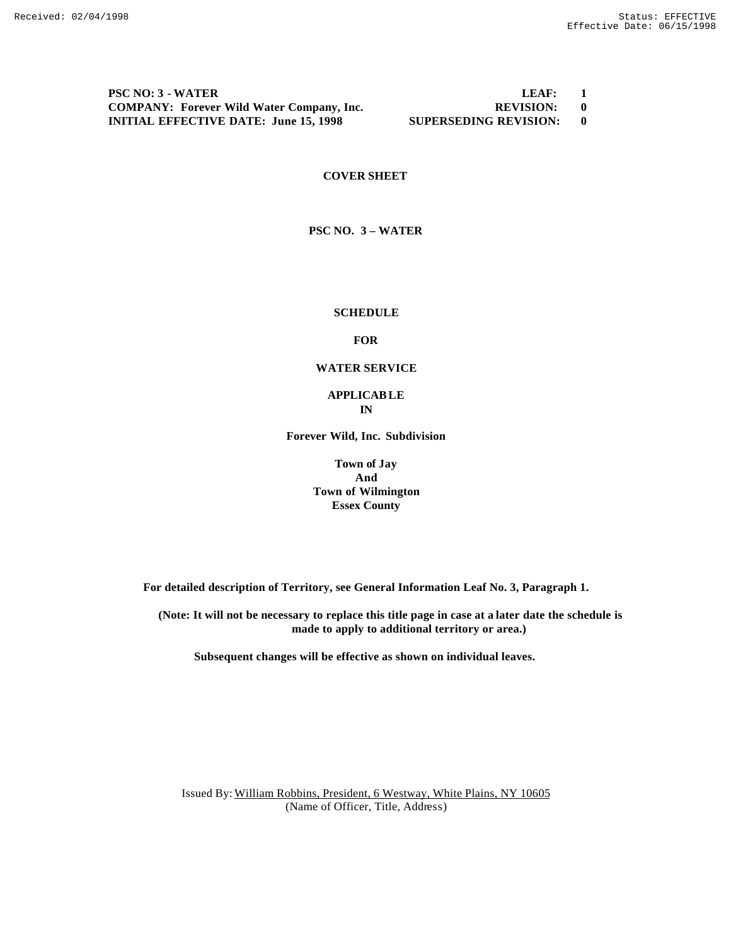**PSC NO: 3 - WATER LEAF: 1 COMPANY: Forever Wild Water Company, Inc. REVISION: 0 INITIAL EFFECTIVE DATE: June 15, 1998 SUPERSEDING REVISION: 0**

### **COVER SHEET**

**PSC NO. 3 – WATER**

#### **SCHEDULE**

#### **FOR**

#### **WATER SERVICE**

### **APPLICABLE IN**

**Forever Wild, Inc. Subdivision**

**Town of Jay And Town of Wilmington Essex County**

**For detailed description of Territory, see General Information Leaf No. 3, Paragraph 1.**

**(Note: It will not be necessary to replace this title page in case at a later date the schedule is made to apply to additional territory or area.)**

**Subsequent changes will be effective as shown on individual leaves.**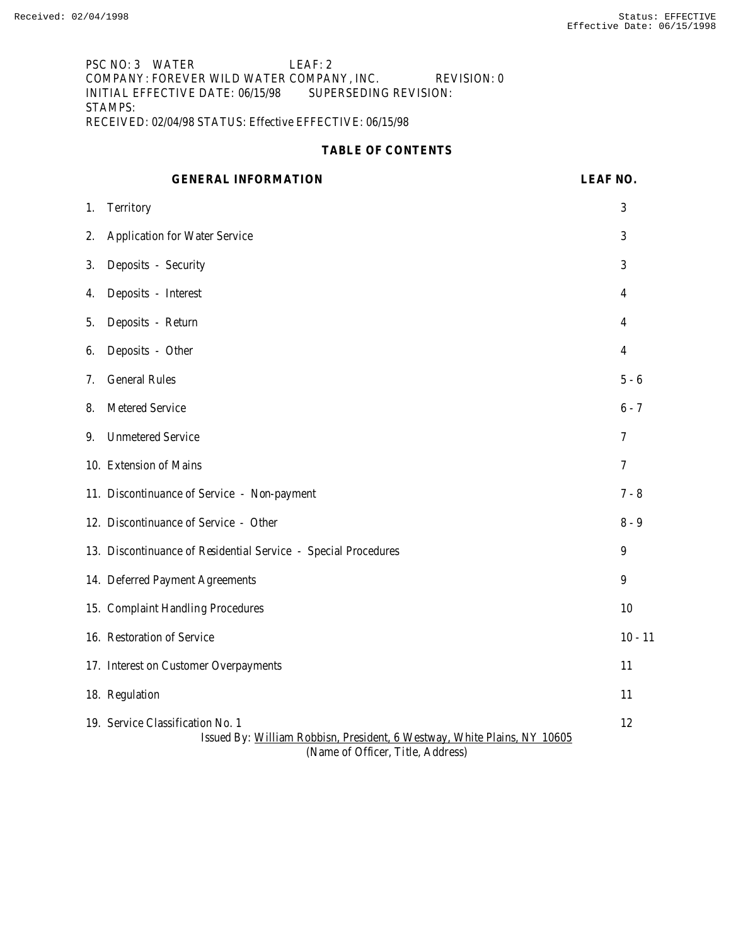PSC NO: 3 WATER LEAF: 2 COMPANY: FOREVER WILD WATER COMPANY, INC. REVISION: 0 INITIAL EFFECTIVE DATE: 06/15/98 SUPERSEDING REVISION: STAMPS: RECEIVED: 02/04/98 STATUS: Effective EFFECTIVE: 06/15/98

## **TABLE OF CONTENTS**

|    | <b>GENERAL INFORMATION</b>                                                                                                                        | LEAF NO.       |
|----|---------------------------------------------------------------------------------------------------------------------------------------------------|----------------|
| 1. | Territory                                                                                                                                         | 3              |
| 2. | Application for Water Service                                                                                                                     | 3              |
| 3. | Deposits - Security                                                                                                                               | 3              |
| 4. | Deposits - Interest                                                                                                                               | 4              |
| 5. | Deposits - Return                                                                                                                                 | 4              |
| 6. | Deposits - Other                                                                                                                                  | 4              |
| 7. | <b>General Rules</b>                                                                                                                              | $5 - 6$        |
| 8. | Metered Service                                                                                                                                   | $6 - 7$        |
| 9. | <b>Unmetered Service</b>                                                                                                                          | $\overline{7}$ |
|    | 10. Extension of Mains                                                                                                                            | 7              |
|    | 11. Discontinuance of Service - Non-payment                                                                                                       | 7 - 8          |
|    | 12. Discontinuance of Service - Other                                                                                                             | $8 - 9$        |
|    | 13. Discontinuance of Residential Service - Special Procedures                                                                                    | 9              |
|    | 14. Deferred Payment Agreements                                                                                                                   | 9              |
|    | 15. Complaint Handling Procedures                                                                                                                 | 10             |
|    | 16. Restoration of Service                                                                                                                        | $10 - 11$      |
|    | 17. Interest on Customer Overpayments                                                                                                             | 11             |
|    | 18. Regulation                                                                                                                                    | 11             |
|    | 19. Service Classification No. 1<br>Issued By: William Robbisn, President, 6 Westway, White Plains, NY 10605<br>(Name of Officer, Title, Address) | 12             |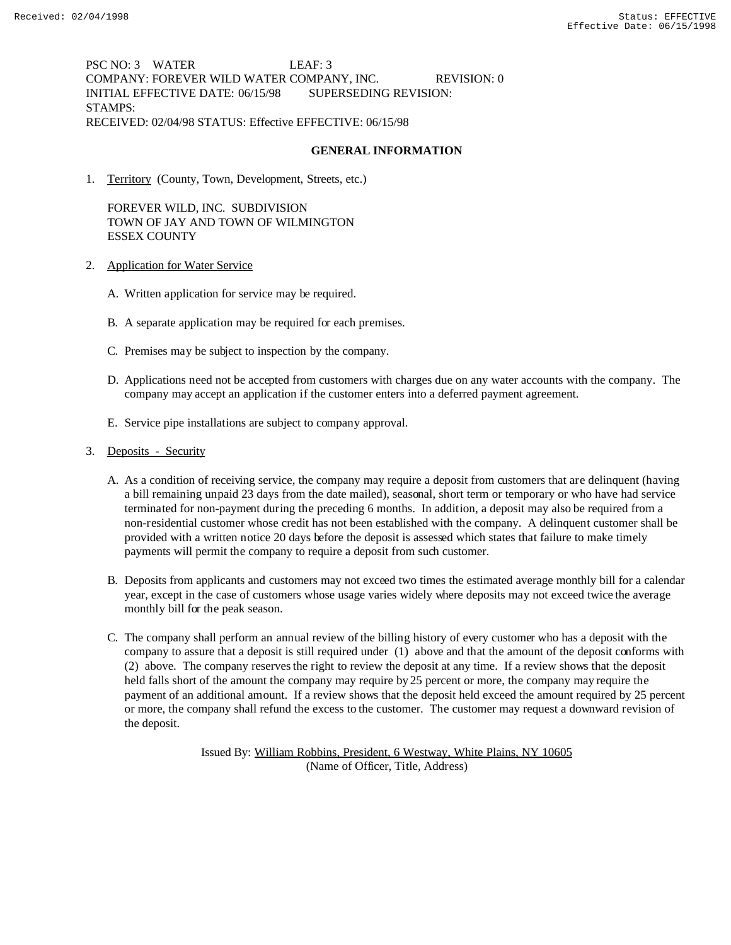PSC NO: 3 WATER LEAF: 3 COMPANY: FOREVER WILD WATER COMPANY, INC. REVISION: 0 INITIAL EFFECTIVE DATE: 06/15/98 SUPERSEDING REVISION: STAMPS: RECEIVED: 02/04/98 STATUS: Effective EFFECTIVE: 06/15/98

## **GENERAL INFORMATION**

1. Territory (County, Town, Development, Streets, etc.)

FOREVER WILD, INC. SUBDIVISION TOWN OF JAY AND TOWN OF WILMINGTON ESSEX COUNTY

- 2. Application for Water Service
	- A. Written application for service may be required.
	- B. A separate application may be required for each premises.
	- C. Premises may be subject to inspection by the company.
	- D. Applications need not be accepted from customers with charges due on any water accounts with the company. The company may accept an application if the customer enters into a deferred payment agreement.
	- E. Service pipe installations are subject to company approval.
- 3. Deposits Security
	- A. As a condition of receiving service, the company may require a deposit from customers that are delinquent (having a bill remaining unpaid 23 days from the date mailed), seasonal, short term or temporary or who have had service terminated for non-payment during the preceding 6 months. In addition, a deposit may also be required from a non-residential customer whose credit has not been established with the company. A delinquent customer shall be provided with a written notice 20 days before the deposit is assessed which states that failure to make timely payments will permit the company to require a deposit from such customer.
	- B. Deposits from applicants and customers may not exceed two times the estimated average monthly bill for a calendar year, except in the case of customers whose usage varies widely where deposits may not exceed twice the average monthly bill for the peak season.
	- C. The company shall perform an annual review of the billing history of every customer who has a deposit with the company to assure that a deposit is still required under (1) above and that the amount of the deposit conforms with (2) above. The company reserves the right to review the deposit at any time. If a review shows that the deposit held falls short of the amount the company may require by 25 percent or more, the company may require the payment of an additional amount. If a review shows that the deposit held exceed the amount required by 25 percent or more, the company shall refund the excess to the customer. The customer may request a downward revision of the deposit.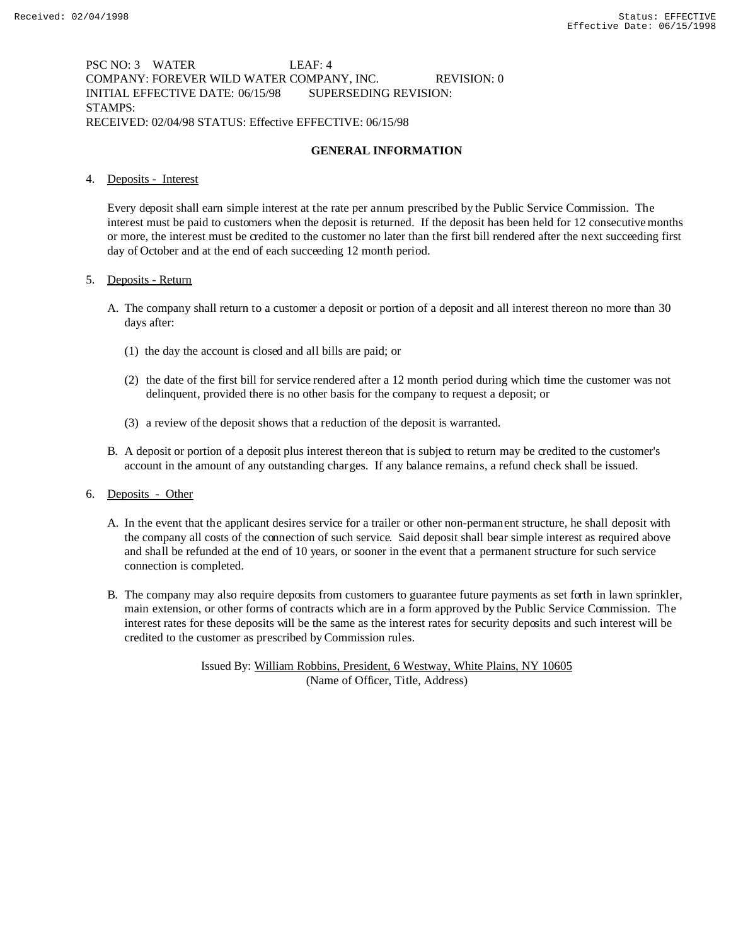# PSC NO: 3 WATER LEAF: 4 COMPANY: FOREVER WILD WATER COMPANY, INC. REVISION: 0 INITIAL EFFECTIVE DATE: 06/15/98 SUPERSEDING REVISION: STAMPS: RECEIVED: 02/04/98 STATUS: Effective EFFECTIVE: 06/15/98

# **GENERAL INFORMATION**

## 4. Deposits - Interest

Every deposit shall earn simple interest at the rate per annum prescribed by the Public Service Commission. The interest must be paid to customers when the deposit is returned. If the deposit has been held for 12 consecutive months or more, the interest must be credited to the customer no later than the first bill rendered after the next succeeding first day of October and at the end of each succeeding 12 month period.

### 5. Deposits - Return

- A. The company shall return to a customer a deposit or portion of a deposit and all interest thereon no more than 30 days after:
	- (1) the day the account is closed and all bills are paid; or
	- (2) the date of the first bill for service rendered after a 12 month period during which time the customer was not delinquent, provided there is no other basis for the company to request a deposit; or
	- (3) a review of the deposit shows that a reduction of the deposit is warranted.
- B. A deposit or portion of a deposit plus interest thereon that is subject to return may be credited to the customer's account in the amount of any outstanding charges. If any balance remains, a refund check shall be issued.

## 6. Deposits - Other

- A. In the event that the applicant desires service for a trailer or other non-permanent structure, he shall deposit with the company all costs of the connection of such service. Said deposit shall bear simple interest as required above and shall be refunded at the end of 10 years, or sooner in the event that a permanent structure for such service connection is completed.
- B. The company may also require deposits from customers to guarantee future payments as set forth in lawn sprinkler, main extension, or other forms of contracts which are in a form approved by the Public Service Commission. The interest rates for these deposits will be the same as the interest rates for security deposits and such interest will be credited to the customer as prescribed by Commission rules.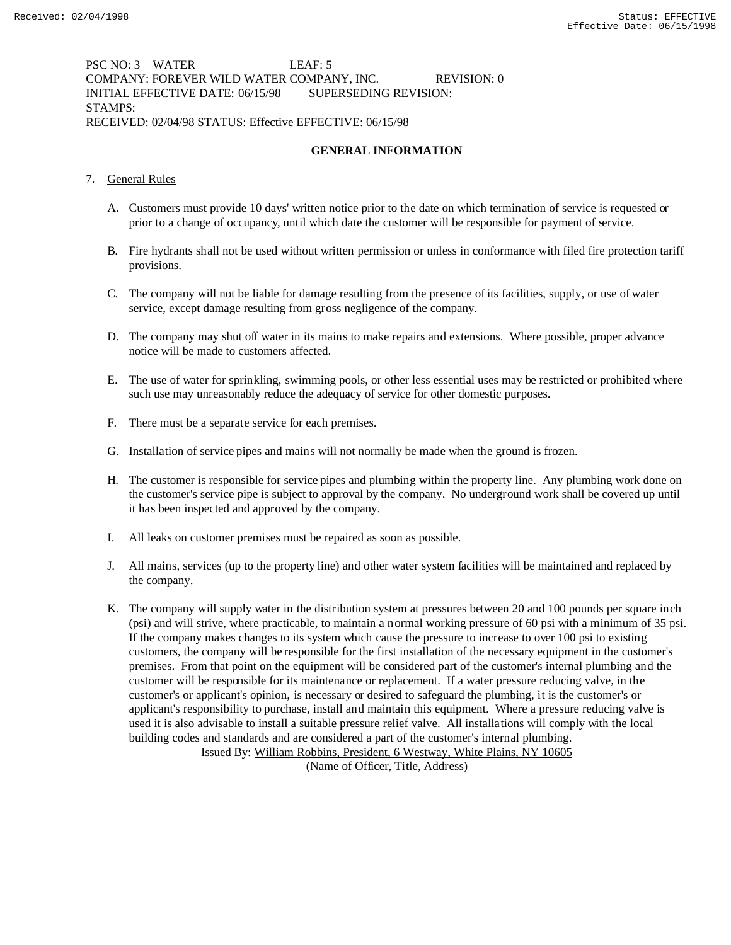PSC NO: 3 WATER LEAF: 5 COMPANY: FOREVER WILD WATER COMPANY, INC. REVISION: 0 INITIAL EFFECTIVE DATE: 06/15/98 SUPERSEDING REVISION: STAMPS: RECEIVED: 02/04/98 STATUS: Effective EFFECTIVE: 06/15/98

# **GENERAL INFORMATION**

- 7. General Rules
	- A. Customers must provide 10 days' written notice prior to the date on which termination of service is requested or prior to a change of occupancy, until which date the customer will be responsible for payment of service.
	- B. Fire hydrants shall not be used without written permission or unless in conformance with filed fire protection tariff provisions.
	- C. The company will not be liable for damage resulting from the presence of its facilities, supply, or use of water service, except damage resulting from gross negligence of the company.
	- D. The company may shut off water in its mains to make repairs and extensions. Where possible, proper advance notice will be made to customers affected.
	- E. The use of water for sprinkling, swimming pools, or other less essential uses may be restricted or prohibited where such use may unreasonably reduce the adequacy of service for other domestic purposes.
	- F. There must be a separate service for each premises.
	- G. Installation of service pipes and mains will not normally be made when the ground is frozen.
	- H. The customer is responsible for service pipes and plumbing within the property line. Any plumbing work done on the customer's service pipe is subject to approval by the company. No underground work shall be covered up until it has been inspected and approved by the company.
	- I. All leaks on customer premises must be repaired as soon as possible.
	- J. All mains, services (up to the property line) and other water system facilities will be maintained and replaced by the company.
	- K. The company will supply water in the distribution system at pressures between 20 and 100 pounds per square inch (psi) and will strive, where practicable, to maintain a normal working pressure of 60 psi with a minimum of 35 psi. If the company makes changes to its system which cause the pressure to increase to over 100 psi to existing customers, the company will be responsible for the first installation of the necessary equipment in the customer's premises. From that point on the equipment will be considered part of the customer's internal plumbing and the customer will be responsible for its maintenance or replacement. If a water pressure reducing valve, in the customer's or applicant's opinion, is necessary or desired to safeguard the plumbing, it is the customer's or applicant's responsibility to purchase, install and maintain this equipment. Where a pressure reducing valve is used it is also advisable to install a suitable pressure relief valve. All installations will comply with the local building codes and standards and are considered a part of the customer's internal plumbing.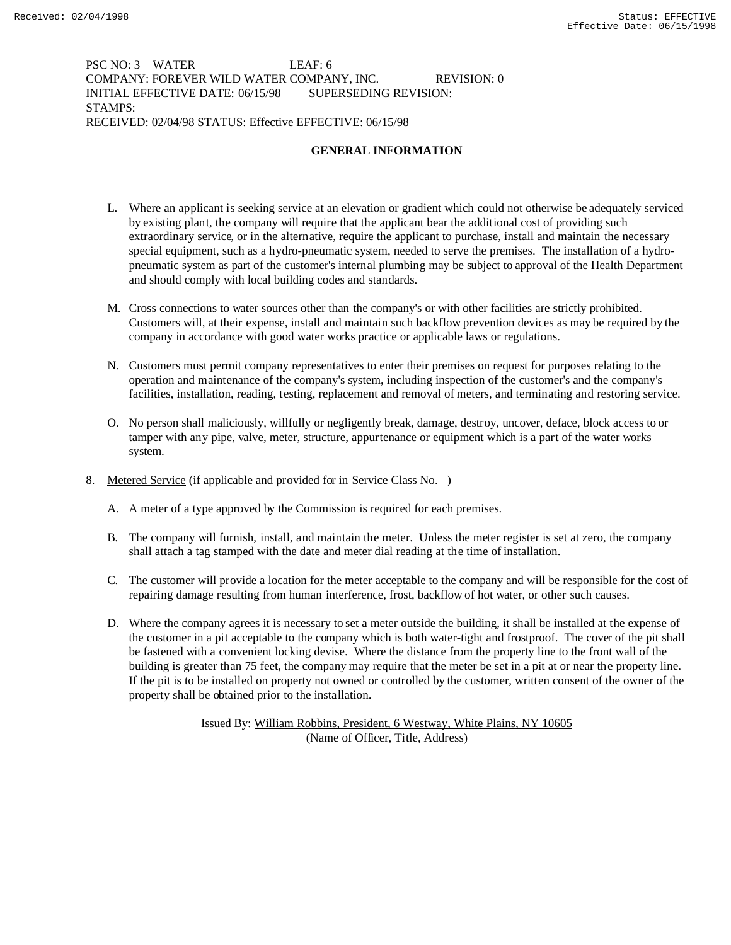PSC NO: 3 WATER LEAF: 6 COMPANY: FOREVER WILD WATER COMPANY, INC. REVISION: 0 INITIAL EFFECTIVE DATE: 06/15/98 SUPERSEDING REVISION: STAMPS: RECEIVED: 02/04/98 STATUS: Effective EFFECTIVE: 06/15/98

# **GENERAL INFORMATION**

- L. Where an applicant is seeking service at an elevation or gradient which could not otherwise be adequately serviced by existing plant, the company will require that the applicant bear the additional cost of providing such extraordinary service, or in the alternative, require the applicant to purchase, install and maintain the necessary special equipment, such as a hydro-pneumatic system, needed to serve the premises. The installation of a hydropneumatic system as part of the customer's internal plumbing may be subject to approval of the Health Department and should comply with local building codes and standards.
- M. Cross connections to water sources other than the company's or with other facilities are strictly prohibited. Customers will, at their expense, install and maintain such backflow prevention devices as may be required by the company in accordance with good water works practice or applicable laws or regulations.
- N. Customers must permit company representatives to enter their premises on request for purposes relating to the operation and maintenance of the company's system, including inspection of the customer's and the company's facilities, installation, reading, testing, replacement and removal of meters, and terminating and restoring service.
- O. No person shall maliciously, willfully or negligently break, damage, destroy, uncover, deface, block access to or tamper with any pipe, valve, meter, structure, appurtenance or equipment which is a part of the water works system.
- 8. Metered Service (if applicable and provided for in Service Class No. )
	- A. A meter of a type approved by the Commission is required for each premises.
	- B. The company will furnish, install, and maintain the meter. Unless the meter register is set at zero, the company shall attach a tag stamped with the date and meter dial reading at the time of installation.
	- C. The customer will provide a location for the meter acceptable to the company and will be responsible for the cost of repairing damage resulting from human interference, frost, backflow of hot water, or other such causes.
	- D. Where the company agrees it is necessary to set a meter outside the building, it shall be installed at the expense of the customer in a pit acceptable to the company which is both water-tight and frostproof. The cover of the pit shall be fastened with a convenient locking devise. Where the distance from the property line to the front wall of the building is greater than 75 feet, the company may require that the meter be set in a pit at or near the property line. If the pit is to be installed on property not owned or controlled by the customer, written consent of the owner of the property shall be obtained prior to the installation.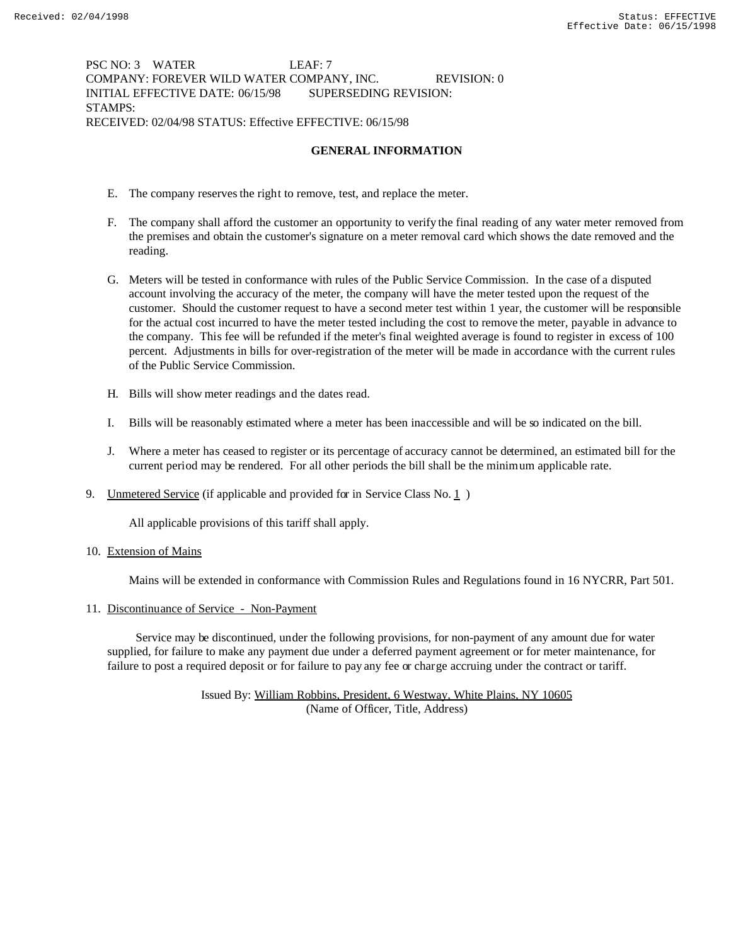PSC NO: 3 WATER LEAF: 7 COMPANY: FOREVER WILD WATER COMPANY, INC. REVISION: 0 INITIAL EFFECTIVE DATE: 06/15/98 SUPERSEDING REVISION: STAMPS: RECEIVED: 02/04/98 STATUS: Effective EFFECTIVE: 06/15/98

## **GENERAL INFORMATION**

- E. The company reserves the right to remove, test, and replace the meter.
- F. The company shall afford the customer an opportunity to verify the final reading of any water meter removed from the premises and obtain the customer's signature on a meter removal card which shows the date removed and the reading.
- G. Meters will be tested in conformance with rules of the Public Service Commission. In the case of a disputed account involving the accuracy of the meter, the company will have the meter tested upon the request of the customer. Should the customer request to have a second meter test within 1 year, the customer will be responsible for the actual cost incurred to have the meter tested including the cost to remove the meter, payable in advance to the company. This fee will be refunded if the meter's final weighted average is found to register in excess of 100 percent. Adjustments in bills for over-registration of the meter will be made in accordance with the current rules of the Public Service Commission.
- H. Bills will show meter readings and the dates read.
- I. Bills will be reasonably estimated where a meter has been inaccessible and will be so indicated on the bill.
- J. Where a meter has ceased to register or its percentage of accuracy cannot be determined, an estimated bill for the current period may be rendered. For all other periods the bill shall be the minimum applicable rate.
- 9. Unmetered Service (if applicable and provided for in Service Class No. 1 )

All applicable provisions of this tariff shall apply.

10. Extension of Mains

Mains will be extended in conformance with Commission Rules and Regulations found in 16 NYCRR, Part 501.

## 11. Discontinuance of Service - Non-Payment

 Service may be discontinued, under the following provisions, for non-payment of any amount due for water supplied, for failure to make any payment due under a deferred payment agreement or for meter maintenance, for failure to post a required deposit or for failure to pay any fee or charge accruing under the contract or tariff.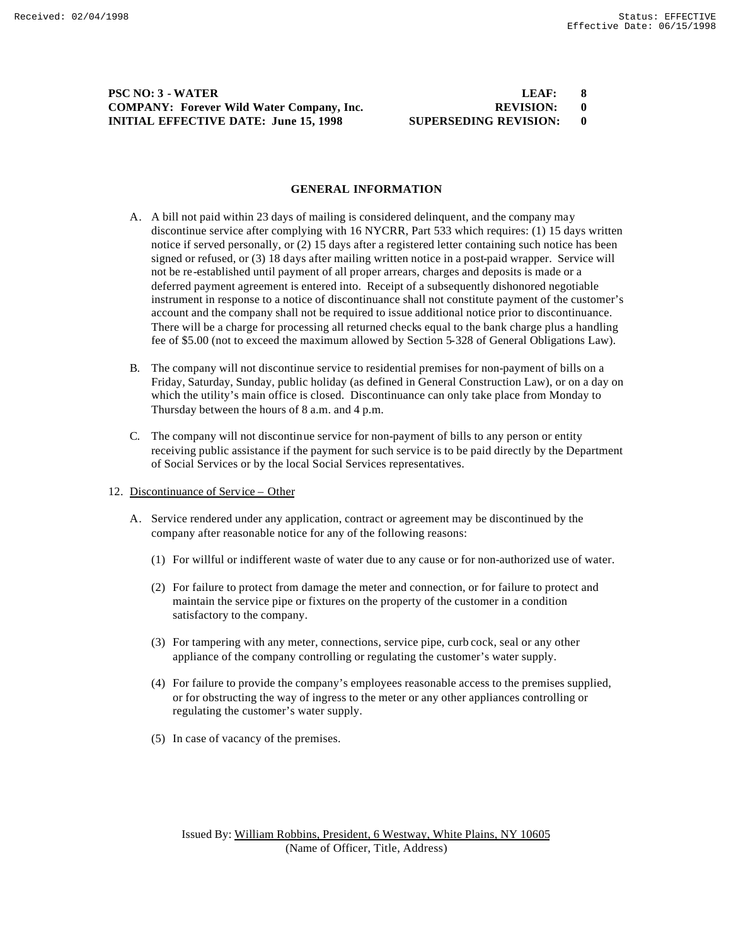## **PSC NO: 3 WATER COMPANY: Forever Wild Water Company, Inc. INITIAL EFFECTIVE DATE: June 15, 1998 SU**

| LEAF:                | 8 |
|----------------------|---|
| <b>REVISION:</b>     |   |
| JPERSEDING REVISION: |   |

## **GENERAL INFORMATION**

- A. A bill not paid within 23 days of mailing is considered delinquent, and the company may discontinue service after complying with 16 NYCRR, Part 533 which requires: (1) 15 days written notice if served personally, or (2) 15 days after a registered letter containing such notice has been signed or refused, or (3) 18 days after mailing written notice in a post-paid wrapper. Service will not be re-established until payment of all proper arrears, charges and deposits is made or a deferred payment agreement is entered into. Receipt of a subsequently dishonored negotiable instrument in response to a notice of discontinuance shall not constitute payment of the customer's account and the company shall not be required to issue additional notice prior to discontinuance. There will be a charge for processing all returned checks equal to the bank charge plus a handling fee of \$5.00 (not to exceed the maximum allowed by Section 5-328 of General Obligations Law).
- B. The company will not discontinue service to residential premises for non-payment of bills on a Friday, Saturday, Sunday, public holiday (as defined in General Construction Law), or on a day on which the utility's main office is closed. Discontinuance can only take place from Monday to Thursday between the hours of 8 a.m. and 4 p.m.
- C. The company will not discontinue service for non-payment of bills to any person or entity receiving public assistance if the payment for such service is to be paid directly by the Department of Social Services or by the local Social Services representatives.
- 12. Discontinuance of Service Other
	- A. Service rendered under any application, contract or agreement may be discontinued by the company after reasonable notice for any of the following reasons:
		- (1) For willful or indifferent waste of water due to any cause or for non-authorized use of water.
		- (2) For failure to protect from damage the meter and connection, or for failure to protect and maintain the service pipe or fixtures on the property of the customer in a condition satisfactory to the company.
		- (3) For tampering with any meter, connections, service pipe, curb cock, seal or any other appliance of the company controlling or regulating the customer's water supply.
		- (4) For failure to provide the company's employees reasonable access to the premises supplied, or for obstructing the way of ingress to the meter or any other appliances controlling or regulating the customer's water supply.
		- (5) In case of vacancy of the premises.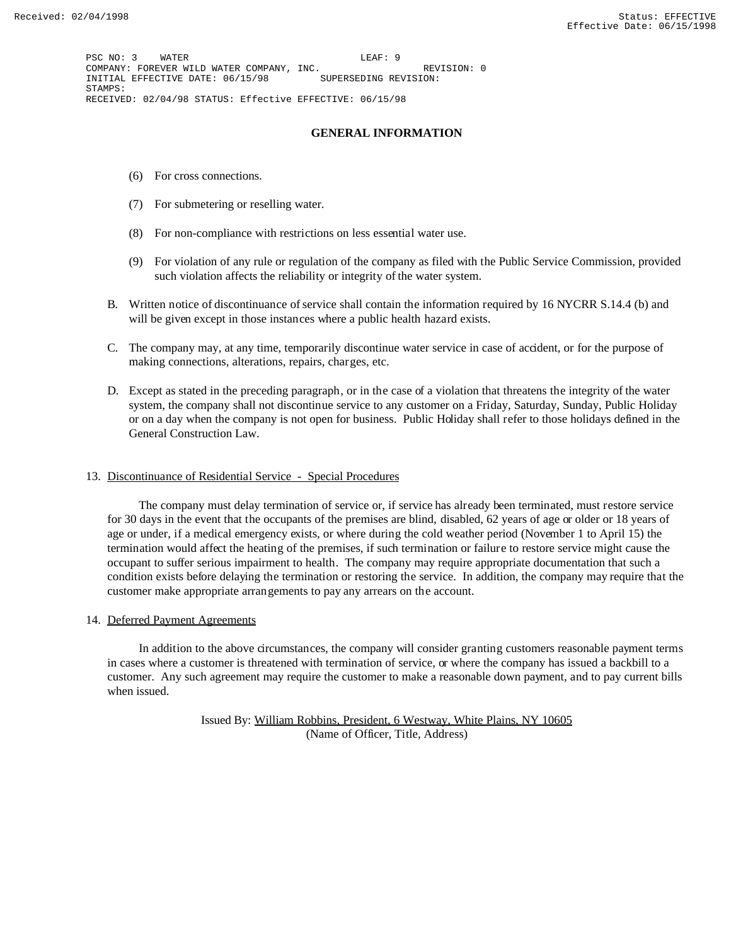PSC NO: 3 WATER LEAF: 9 COMPANY: FOREVER WILD WATER COMPANY, INC. <br>INITIAL EFFECTIVE DATE: 06/15/98 SUPERSEDING REVISION: INITIAL EFFECTIVE DATE: 06/15/98 STAMPS: RECEIVED: 02/04/98 STATUS: Effective EFFECTIVE: 06/15/98

## **GENERAL INFORMATION**

- (6) For cross connections.
- (7) For submetering or reselling water.
- (8) For non-compliance with restrictions on less essential water use.
- (9) For violation of any rule or regulation of the company as filed with the Public Service Commission, provided such violation affects the reliability or integrity of the water system.
- B. Written notice of discontinuance of service shall contain the information required by 16 NYCRR S.14.4 (b) and will be given except in those instances where a public health hazard exists.
- C. The company may, at any time, temporarily discontinue water service in case of accident, or for the purpose of making connections, alterations, repairs, charges, etc.
- D. Except as stated in the preceding paragraph, or in the case of a violation that threatens the integrity of the water system, the company shall not discontinue service to any customer on a Friday, Saturday, Sunday, Public Holiday or on a day when the company is not open for business. Public Holiday shall refer to those holidays defined in the General Construction Law.

#### 13. Discontinuance of Residential Service - Special Procedures

 The company must delay termination of service or, if service has already been terminated, must restore service for 30 days in the event that the occupants of the premises are blind, disabled, 62 years of age or older or 18 years of age or under, if a medical emergency exists, or where during the cold weather period (November 1 to April 15) the termination would affect the heating of the premises, if such termination or failure to restore service might cause the occupant to suffer serious impairment to health. The company may require appropriate documentation that such a condition exists before delaying the termination or restoring the service. In addition, the company may require that the customer make appropriate arrangements to pay any arrears on the account.

14. Deferred Payment Agreements

 In addition to the above circumstances, the company will consider granting customers reasonable payment terms in cases where a customer is threatened with termination of service, or where the company has issued a backbill to a customer. Any such agreement may require the customer to make a reasonable down payment, and to pay current bills when issued.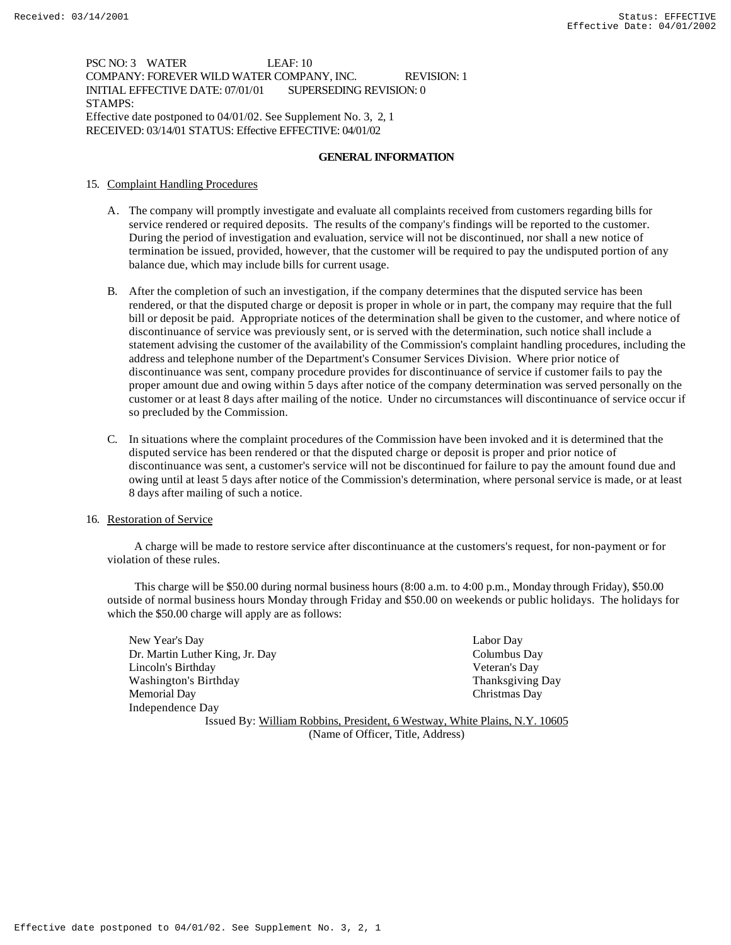### PSC NO: 3 WATER LEAF: 10 COMPANY: FOREVER WILD WATER COMPANY, INC. REVISION: 1 INITIAL EFFECTIVE DATE: 07/01/01 SUPERSEDING REVISION: 0 STAMPS: Effective date postponed to 04/01/02. See Supplement No. 3, 2, 1 RECEIVED: 03/14/01 STATUS: Effective EFFECTIVE: 04/01/02

### **GENERAL INFORMATION**

- 15. Complaint Handling Procedures
	- A. The company will promptly investigate and evaluate all complaints received from customers regarding bills for service rendered or required deposits. The results of the company's findings will be reported to the customer. During the period of investigation and evaluation, service will not be discontinued, nor shall a new notice of termination be issued, provided, however, that the customer will be required to pay the undisputed portion of any balance due, which may include bills for current usage.
	- B. After the completion of such an investigation, if the company determines that the disputed service has been rendered, or that the disputed charge or deposit is proper in whole or in part, the company may require that the full bill or deposit be paid. Appropriate notices of the determination shall be given to the customer, and where notice of discontinuance of service was previously sent, or is served with the determination, such notice shall include a statement advising the customer of the availability of the Commission's complaint handling procedures, including the address and telephone number of the Department's Consumer Services Division. Where prior notice of discontinuance was sent, company procedure provides for discontinuance of service if customer fails to pay the proper amount due and owing within 5 days after notice of the company determination was served personally on the customer or at least 8 days after mailing of the notice. Under no circumstances will discontinuance of service occur if so precluded by the Commission.
	- C. In situations where the complaint procedures of the Commission have been invoked and it is determined that the disputed service has been rendered or that the disputed charge or deposit is proper and prior notice of discontinuance was sent, a customer's service will not be discontinued for failure to pay the amount found due and owing until at least 5 days after notice of the Commission's determination, where personal service is made, or at least 8 days after mailing of such a notice.

### 16. Restoration of Service

 A charge will be made to restore service after discontinuance at the customers's request, for non-payment or for violation of these rules.

 This charge will be \$50.00 during normal business hours (8:00 a.m. to 4:00 p.m., Monday through Friday), \$50.00 outside of normal business hours Monday through Friday and \$50.00 on weekends or public holidays. The holidays for which the \$50.00 charge will apply are as follows:

New Year's Day Labor Day Dr. Martin Luther King, Jr. Day Columbus Day Lincoln's Birthday Veteran's Day Washington's Birthday **Thanksgiving Day** Thanksgiving Day Memorial Day Christmas Day Independence Day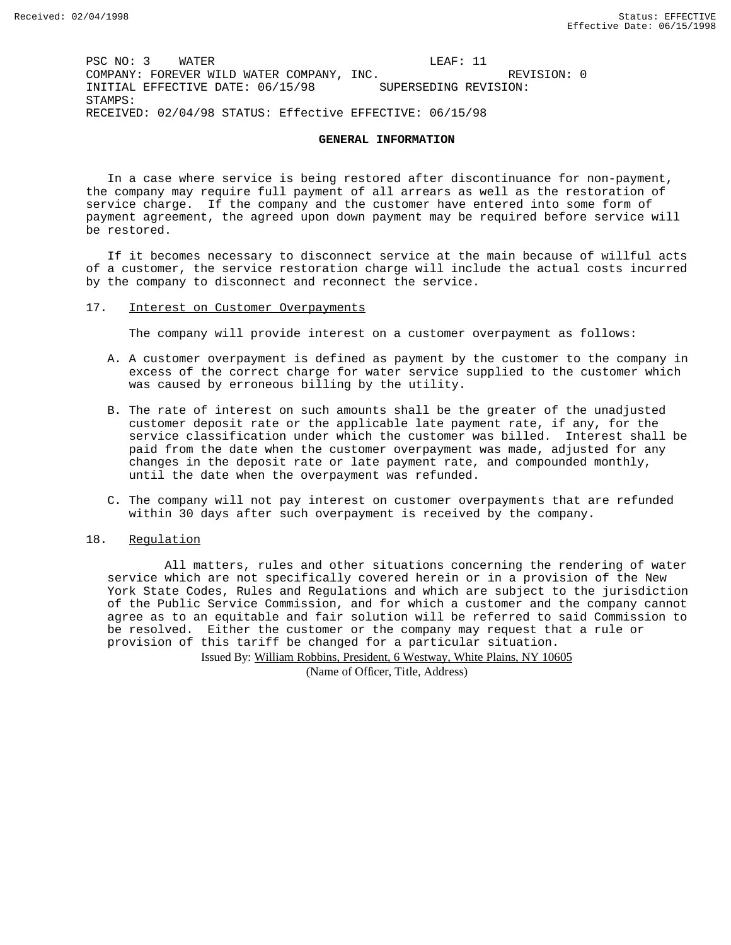PSC NO: 3 WATER LEAF: 11 COMPANY: FOREVER WILD WATER COMPANY, INC.  $REVIISION: 0$ INITIAL EFFECTIVE DATE: 06/15/98 SUPERSEDING REVISION: STAMPS: RECEIVED: 02/04/98 STATUS: Effective EFFECTIVE: 06/15/98

#### **GENERAL INFORMATION**

In a case where service is being restored after discontinuance for non-payment, the company may require full payment of all arrears as well as the restoration of service charge. If the company and the customer have entered into some form of payment agreement, the agreed upon down payment may be required before service will be restored.

If it becomes necessary to disconnect service at the main because of willful acts of a customer, the service restoration charge will include the actual costs incurred by the company to disconnect and reconnect the service.

17. Interest on Customer Overpayments

The company will provide interest on a customer overpayment as follows:

- A. A customer overpayment is defined as payment by the customer to the company in excess of the correct charge for water service supplied to the customer which was caused by erroneous billing by the utility.
- B. The rate of interest on such amounts shall be the greater of the unadjusted customer deposit rate or the applicable late payment rate, if any, for the service classification under which the customer was billed. Interest shall be paid from the date when the customer overpayment was made, adjusted for any changes in the deposit rate or late payment rate, and compounded monthly, until the date when the overpayment was refunded.
- C. The company will not pay interest on customer overpayments that are refunded within 30 days after such overpayment is received by the company.

#### 18. Regulation

 All matters, rules and other situations concerning the rendering of water service which are not specifically covered herein or in a provision of the New York State Codes, Rules and Regulations and which are subject to the jurisdiction of the Public Service Commission, and for which a customer and the company cannot agree as to an equitable and fair solution will be referred to said Commission to be resolved. Either the customer or the company may request that a rule or provision of this tariff be changed for a particular situation.

Issued By: William Robbins, President, 6 Westway, White Plains, NY 10605

(Name of Officer, Title, Address)